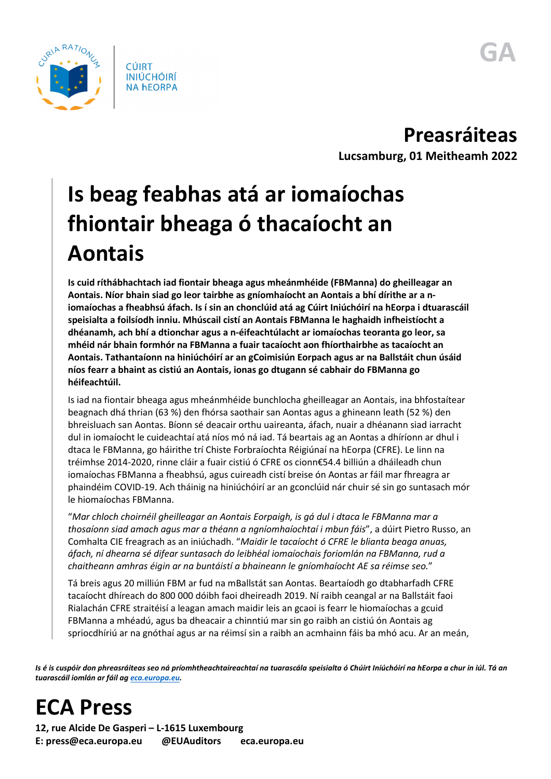

**Preasráiteas Lucsamburg, 01 Meitheamh 2022**

## **Is beag feabhas atá ar iomaíochas fhiontair bheaga ó thacaíocht an Aontais**

**Is cuid ríthábhachtach iad fiontair bheaga agus mheánmhéide (FBManna) do gheilleagar an Aontais. Níor bhain siad go leor tairbhe as gníomhaíocht an Aontais a bhí dírithe ar a niomaíochas a fheabhsú áfach. Is í sin an chonclúid atá ag Cúirt Iniúchóirí na hEorpa i dtuarascáil speisialta a foilsíodh inniu. Mhúscail cistí an Aontais FBManna le haghaidh infheistíocht a dhéanamh, ach bhí a dtionchar agus a n-éifeachtúlacht ar iomaíochas teoranta go leor, sa mhéid nár bhain formhór na FBManna a fuair tacaíocht aon fhíorthairbhe as tacaíocht an Aontais. Tathantaíonn na hiniúchóirí ar an gCoimisiún Eorpach agus ar na Ballstáit chun úsáid níos fearr a bhaint as cistiú an Aontais, ionas go dtugann sé cabhair do FBManna go héifeachtúil.**

Is iad na fiontair bheaga agus mheánmhéide bunchlocha gheilleagar an Aontais, ina bhfostaítear beagnach dhá thrian (63 %) den fhórsa saothair san Aontas agus a ghineann leath (52 %) den bhreisluach san Aontas. Bíonn sé deacair orthu uaireanta, áfach, nuair a dhéanann siad iarracht dul in iomaíocht le cuideachtaí atá níos mó ná iad. Tá beartais ag an Aontas a dhíríonn ar dhul i dtaca le FBManna, go háirithe trí Chiste Forbraíochta Réigiúnaí na hEorpa (CFRE). Le linn na tréimhse 2014-2020, rinne cláir a fuair cistiú ó CFRE os cionn€54.4 billiún a dháileadh chun iomaíochas FBManna a fheabhsú, agus cuireadh cistí breise ón Aontas ar fáil mar fhreagra ar phaindéim COVID-19. Ach tháinig na hiniúchóirí ar an gconclúid nár chuir sé sin go suntasach mór le hiomaíochas FBManna.

"*Mar chloch choirnéil gheilleagar an Aontais Eorpaigh, is gá dul i dtaca le FBManna mar a thosaíonn siad amach agus mar a théann a ngníomhaíochtaí i mbun fáis*", a dúirt Pietro Russo, an Comhalta CIE freagrach as an iniúchadh. "*Maidir le tacaíocht ó CFRE le blianta beaga anuas, áfach, ní dhearna sé difear suntasach do leibhéal iomaíochais foriomlán na FBManna, rud a chaitheann amhras éigin ar na buntáistí a bhaineann le gníomhaíocht AE sa réimse seo.*"

Tá breis agus 20 milliún FBM ar fud na mBallstát san Aontas. Beartaíodh go dtabharfadh CFRE tacaíocht dhíreach do 800 000 dóibh faoi dheireadh 2019. Ní raibh ceangal ar na Ballstáit faoi Rialachán CFRE straitéisí a leagan amach maidir leis an gcaoi is fearr le hiomaíochas a gcuid FBManna a mhéadú, agus ba dheacair a chinntiú mar sin go raibh an cistiú ón Aontais ag spriocdhíriú ar na gnóthaí agus ar na réimsí sin a raibh an acmhainn fáis ba mhó acu. Ar an meán,

*Is é is cuspóir don phreasráiteas seo ná príomhtheachtaireachtaí na tuarascála speisialta ó Chúirt Iniúchóirí na hEorpa a chur in iúl. Tá an tuarascáil iomlán ar fáil a[g eca.europa.eu.](https://www.eca.europa.eu/)*

## **ECA Press**

**12, rue Alcide De Gasperi – L-1615 Luxembourg E: press@eca.europa.eu @EUAuditors eca.europa.eu**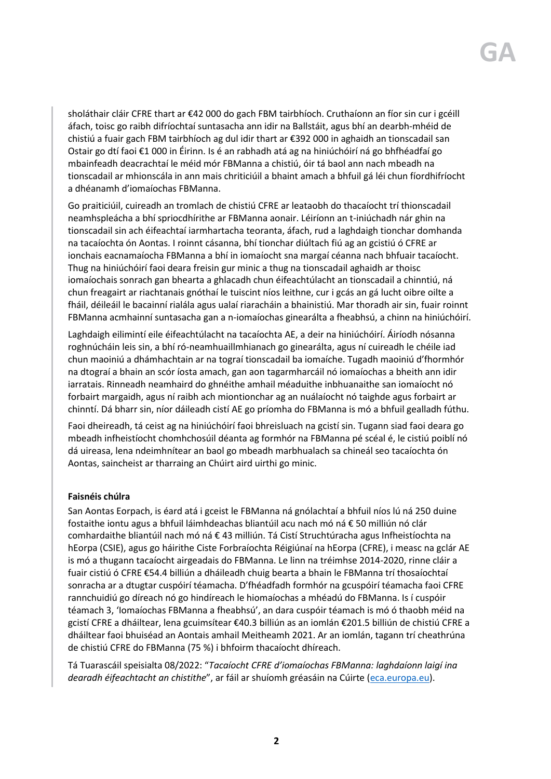sholáthair cláir CFRE thart ar €42 000 do gach FBM tairbhíoch. Cruthaíonn an fíor sin cur i gcéill áfach, toisc go raibh difríochtaí suntasacha ann idir na Ballstáit, agus bhí an dearbh-mhéid de chistiú a fuair gach FBM tairbhíoch ag dul idir thart ar €392 000 in aghaidh an tionscadail san Ostair go dtí faoi €1 000 in Éirinn. Is é an rabhadh atá ag na hiniúchóirí ná go bhfhéadfaí go mbainfeadh deacrachtaí le méid mór FBManna a chistiú, óir tá baol ann nach mbeadh na tionscadail ar mhionscála in ann mais chriticiúil a bhaint amach a bhfuil gá léi chun fíordhifríocht a dhéanamh d'iomaíochas FBManna.

Go praiticiúil, cuireadh an tromlach de chistiú CFRE ar leataobh do thacaíocht trí thionscadail neamhspleácha a bhí spriocdhírithe ar FBManna aonair. Léiríonn an t-iniúchadh nár ghin na tionscadail sin ach éifeachtaí iarmhartacha teoranta, áfach, rud a laghdaigh tionchar domhanda na tacaíochta ón Aontas. I roinnt cásanna, bhí tionchar diúltach fiú ag an gcistiú ó CFRE ar ionchais eacnamaíocha FBManna a bhí in iomaíocht sna margaí céanna nach bhfuair tacaíocht. Thug na hiniúchóirí faoi deara freisin gur minic a thug na tionscadail aghaidh ar thoisc iomaíochais sonrach gan bhearta a ghlacadh chun éifeachtúlacht an tionscadail a chinntiú, ná chun freagairt ar riachtanais gnóthaí le tuiscint níos leithne, cur i gcás an gá lucht oibre oilte a fháil, déileáil le bacainní rialála agus ualaí riaracháin a bhainistiú. Mar thoradh air sin, fuair roinnt FBManna acmhainní suntasacha gan a n-iomaíochas ginearálta a fheabhsú, a chinn na hiniúchóirí.

Laghdaigh eilimintí eile éifeachtúlacht na tacaíochta AE, a deir na hiniúchóirí. Áiríodh nósanna roghnúcháin leis sin, a bhí ró-neamhuaillmhianach go ginearálta, agus ní cuireadh le chéile iad chun maoiniú a dhámhachtain ar na tograí tionscadail ba iomaíche. Tugadh maoiniú d'fhormhór na dtograí a bhain an scór íosta amach, gan aon tagarmharcáil nó iomaíochas a bheith ann idir iarratais. Rinneadh neamhaird do ghnéithe amhail méaduithe inbhuanaithe san iomaíocht nó forbairt margaidh, agus ní raibh ach miontionchar ag an nuálaíocht nó taighde agus forbairt ar chinntí. Dá bharr sin, níor dáileadh cistí AE go príomha do FBManna is mó a bhfuil gealladh fúthu.

Faoi dheireadh, tá ceist ag na hiniúchóirí faoi bhreisluach na gcistí sin. Tugann siad faoi deara go mbeadh infheistíocht chomhchosúil déanta ag formhór na FBManna pé scéal é, le cistiú poiblí nó dá uireasa, lena ndeimhnítear an baol go mbeadh marbhualach sa chineál seo tacaíochta ón Aontas, saincheist ar tharraing an Chúirt aird uirthi go minic.

## **Faisnéis chúlra**

San Aontas Eorpach, is éard atá i gceist le FBManna ná gnólachtaí a bhfuil níos lú ná 250 duine fostaithe iontu agus a bhfuil láimhdeachas bliantúil acu nach mó ná € 50 milliún nó clár comhardaithe bliantúil nach mó ná € 43 milliún. Tá Cistí Struchtúracha agus Infheistíochta na hEorpa (CSIE), agus go háirithe Ciste Forbraíochta Réigiúnaí na hEorpa (CFRE), i measc na gclár AE is mó a thugann tacaíocht airgeadais do FBManna. Le linn na tréimhse 2014-2020, rinne cláir a fuair cistiú ó CFRE €54.4 billiún a dháileadh chuig bearta a bhain le FBManna trí thosaíochtaí sonracha ar a dtugtar cuspóirí téamacha. D'fhéadfadh formhór na gcuspóirí téamacha faoi CFRE rannchuidiú go díreach nó go hindíreach le hiomaíochas a mhéadú do FBManna. Is í cuspóir téamach 3, 'Iomaíochas FBManna a fheabhsú', an dara cuspóir téamach is mó ó thaobh méid na gcistí CFRE a dháiltear, lena gcuimsítear €40.3 billiún as an iomlán €201.5 billiún de chistiú CFRE a dháiltear faoi bhuiséad an Aontais amhail Meitheamh 2021. Ar an iomlán, tagann trí cheathrúna de chistiú CFRE do FBManna (75 %) i bhfoirm thacaíocht dhíreach.

Tá Tuarascáil speisialta 08/2022: "*Tacaíocht CFRE d'iomaíochas FBManna: laghdaíonn laigí ina dearadh éifeachtacht an chistithe*", ar fáil ar shuíomh gréasáin na Cúirte [\(eca.europa.eu\)](https://www.eca.europa.eu/ga/Pages/ecadefault.aspx).